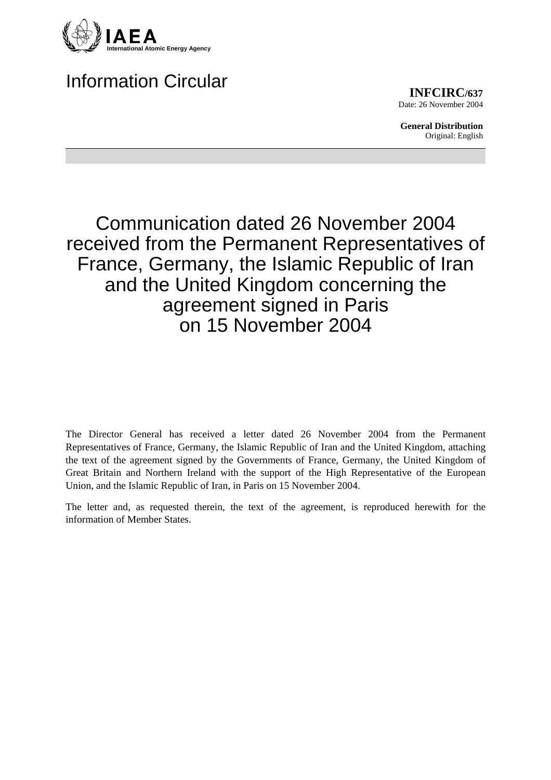

## Information Circular

**INFCIRC/637** Date: 26 November 2004

**General Distribution** Original: English

## Communication dated 26 November 2004 received from the Permanent Representatives of France, Germany, the Islamic Republic of Iran and the United Kingdom concerning the agreement signed in Paris on 15 November 2004

The Director General has received a letter dated 26 November 2004 from the Permanent Representatives of France, Germany, the Islamic Republic of Iran and the United Kingdom, attaching the text of the agreement signed by the Governments of France, Germany, the United Kingdom of Great Britain and Northern Ireland with the support of the High Representative of the European Union, and the Islamic Republic of Iran, in Paris on 15 November 2004.

The letter and, as requested therein, the text of the agreement, is reproduced herewith for the information of Member States.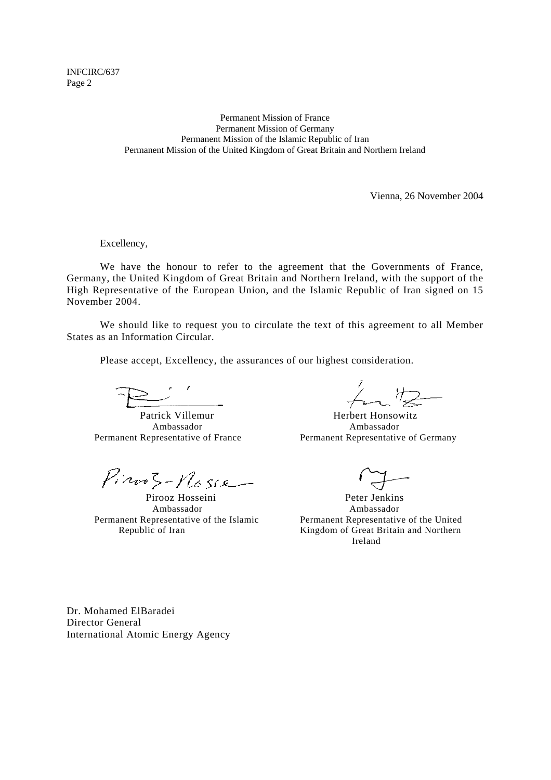INFCIRC/637 Page 2

> Permanent Mission of France Permanent Mission of Germany Permanent Mission of the Islamic Republic of Iran Permanent Mission of the United Kingdom of Great Britain and Northern Ireland

> > Vienna, 26 November 2004

Excellency,

 We have the honour to refer to the agreement that the Governments of France, Germany, the United Kingdom of Great Britain and Northern Ireland, with the support of the High Representative of the European Union, and the Islamic Republic of Iran signed on 15 November 2004.

 We should like to request you to circulate the text of this agreement to all Member States as an Information Circular.

Please accept, Excellency, the assurances of our highest consideration.

Pirooz Hosseini Peter Jenkins

 Ambassador Ambassador Permanent Representative of the Islamic Permanent Representative of the United

Patrick Villemur Herbert Honsowitz Ambassador Ambassador Permanent Representative of France Permanent Representative of Germany

Republic of Iran **Kingdom of Great Britain and Northern** Ireland

Dr. Mohamed ElBaradei Director General International Atomic Energy Agency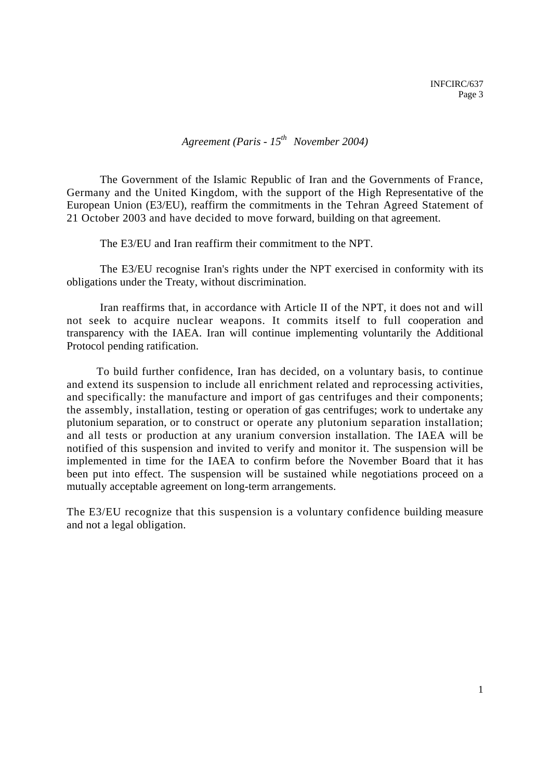*Agreement (Paris - 15th November 2004)* 

The Government of the Islamic Republic of Iran and the Governments of France, Germany and the United Kingdom, with the support of the High Representative of the European Union (E3/EU), reaffirm the commitments in the Tehran Agreed Statement of 21 October 2003 and have decided to move forward, building on that agreement.

The E3/EU and Iran reaffirm their commitment to the NPT.

The E3/EU recognise Iran's rights under the NPT exercised in conformity with its obligations under the Treaty, without discrimination.

Iran reaffirms that, in accordance with Article II of the NPT, it does not and will not seek to acquire nuclear weapons. It commits itself to full cooperation and transparency with the IAEA. Iran will continue implementing voluntarily the Additional Protocol pending ratification.

To build further confidence, Iran has decided, on a voluntary basis, to continue and extend its suspension to include all enrichment related and reprocessing activities, and specifically: the manufacture and import of gas centrifuges and their components; the assembly, installation, testing or operation of gas centrifuges; work to undertake any plutonium separation, or to construct or operate any plutonium separation installation; and all tests or production at any uranium conversion installation. The IAEA will be notified of this suspension and invited to verify and monitor it. The suspension will be implemented in time for the IAEA to confirm before the November Board that it has been put into effect. The suspension will be sustained while negotiations proceed on a mutually acceptable agreement on long-term arrangements.

The E3/EU recognize that this suspension is a voluntary confidence building measure and not a legal obligation.